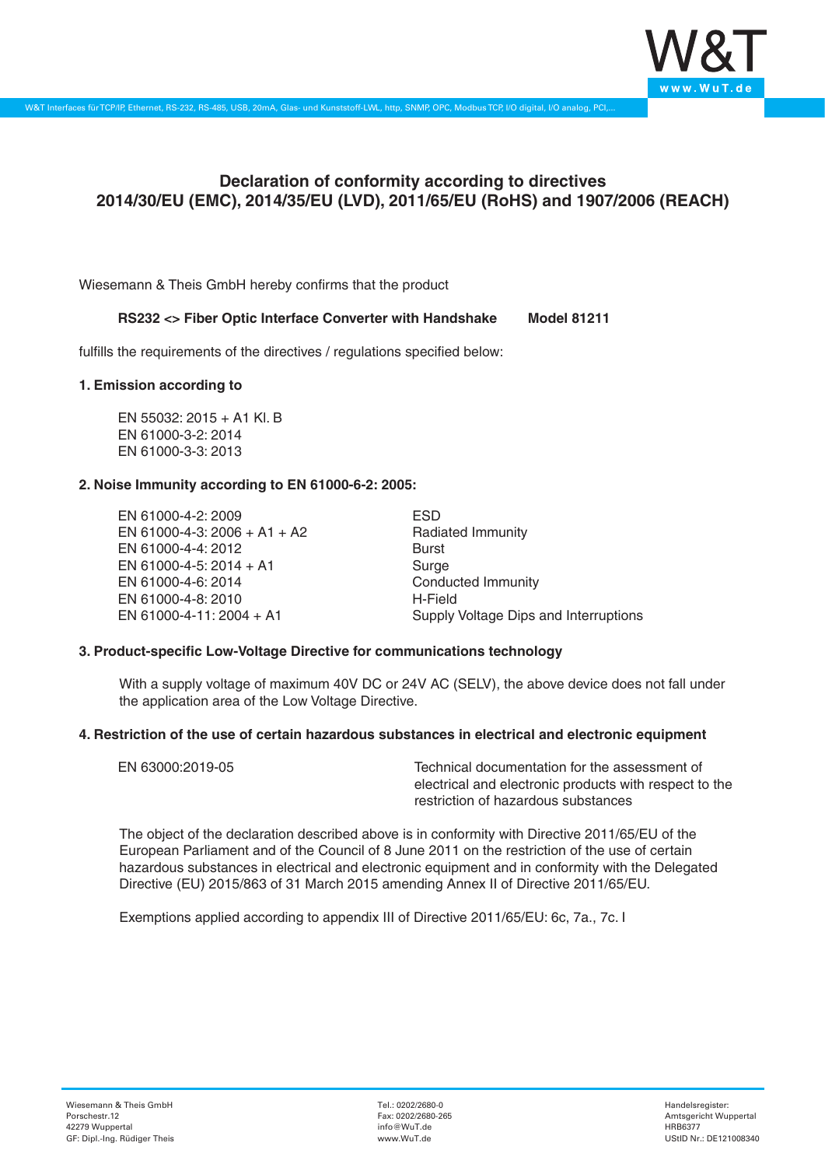

# **Declaration of conformity according to directives 2014/30/EU (EMC), 2014/35/EU (LVD), 2011/65/EU (RoHS) and 1907/2006 (REACH)**

Wiesemann & Theis GmbH hereby confirms that the product

#### **RS232 <> Fiber Optic Interface Converter with Handshake Model 81211**

fulfills the requirements of the directives / regulations specified below:

#### **1. Emission according to**

EN 55032: 2015 + A1 Kl. B EN 61000-3-2: 2014 EN 61000-3-3: 2013

## **2. Noise Immunity according to EN 61000-6-2: 2005:**

EN 61000-4-2: 2009 EN 61000-4-3: 2006 + A1 + A2 EN 61000-4-4: 2012 EN 61000-4-5: 2014 + A1 EN 61000-4-6: 2014 EN 61000-4-8: 2010 EN 61000-4-11: 2004 + A1

ESD Radiated Immunity Burst Surge Conducted Immunity H-Field Supply Voltage Dips and Interruptions

## **3. Product-specific Low-Voltage Directive for communications technology**

With a supply voltage of maximum 40V DC or 24V AC (SELV), the above device does not fall under the application area of the Low Voltage Directive.

#### **4. Restriction of the use of certain hazardous substances in electrical and electronic equipment**

| EN 63000:2019-05 | Technical documentation for the assessment of          |
|------------------|--------------------------------------------------------|
|                  | electrical and electronic products with respect to the |
|                  | restriction of hazardous substances                    |

The object of the declaration described above is in conformity with Directive 2011/65/EU of the European Parliament and of the Council of 8 June 2011 on the restriction of the use of certain hazardous substances in electrical and electronic equipment and in conformity with the Delegated Directive (EU) 2015/863 of 31 March 2015 amending Annex II of Directive 2011/65/EU.

Exemptions applied according to appendix III of Directive 2011/65/EU: 6c, 7a., 7c. I